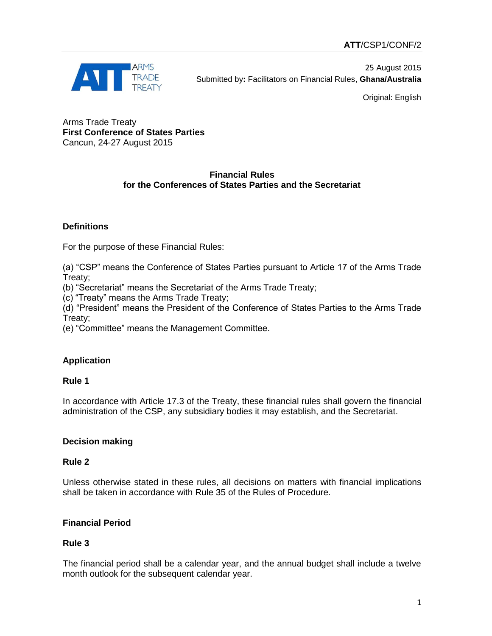

25 August 2015 Submitted by**:** Facilitators on Financial Rules, **Ghana/Australia**

Original: English

Arms Trade Treaty **First Conference of States Parties** Cancun, 24-27 August 2015

# **Financial Rules for the Conferences of States Parties and the Secretariat**

# **Definitions**

For the purpose of these Financial Rules:

(a) "CSP" means the Conference of States Parties pursuant to Article 17 of the Arms Trade Treaty;

(b) "Secretariat" means the Secretariat of the Arms Trade Treaty;

(c) "Treaty" means the Arms Trade Treaty;

(d) "President" means the President of the Conference of States Parties to the Arms Trade Treaty;

(e) "Committee" means the Management Committee.

# **Application**

## **Rule 1**

In accordance with Article 17.3 of the Treaty, these financial rules shall govern the financial administration of the CSP, any subsidiary bodies it may establish, and the Secretariat.

## **Decision making**

## **Rule 2**

Unless otherwise stated in these rules, all decisions on matters with financial implications shall be taken in accordance with Rule 35 of the Rules of Procedure.

## **Financial Period**

## **Rule 3**

The financial period shall be a calendar year, and the annual budget shall include a twelve month outlook for the subsequent calendar year.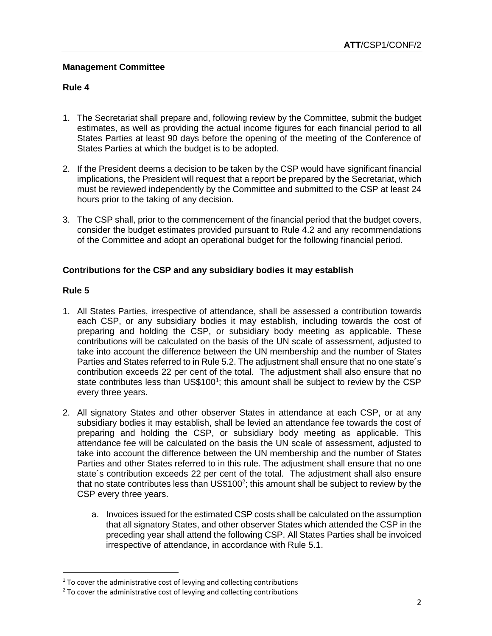## **Management Committee**

## **Rule 4**

- 1. The Secretariat shall prepare and, following review by the Committee, submit the budget estimates, as well as providing the actual income figures for each financial period to all States Parties at least 90 days before the opening of the meeting of the Conference of States Parties at which the budget is to be adopted.
- 2. If the President deems a decision to be taken by the CSP would have significant financial implications, the President will request that a report be prepared by the Secretariat, which must be reviewed independently by the Committee and submitted to the CSP at least 24 hours prior to the taking of any decision.
- 3. The CSP shall, prior to the commencement of the financial period that the budget covers, consider the budget estimates provided pursuant to Rule 4.2 and any recommendations of the Committee and adopt an operational budget for the following financial period.

# **Contributions for the CSP and any subsidiary bodies it may establish**

# **Rule 5**

 $\overline{a}$ 

- 1. All States Parties, irrespective of attendance, shall be assessed a contribution towards each CSP, or any subsidiary bodies it may establish, including towards the cost of preparing and holding the CSP, or subsidiary body meeting as applicable. These contributions will be calculated on the basis of the UN scale of assessment, adjusted to take into account the difference between the UN membership and the number of States Parties and States referred to in Rule 5.2. The adjustment shall ensure that no one state´s contribution exceeds 22 per cent of the total. The adjustment shall also ensure that no state contributes less than US\$100<sup>1</sup>; this amount shall be subject to review by the CSP every three years.
- 2. All signatory States and other observer States in attendance at each CSP, or at any subsidiary bodies it may establish, shall be levied an attendance fee towards the cost of preparing and holding the CSP, or subsidiary body meeting as applicable. This attendance fee will be calculated on the basis the UN scale of assessment, adjusted to take into account the difference between the UN membership and the number of States Parties and other States referred to in this rule. The adjustment shall ensure that no one state´s contribution exceeds 22 per cent of the total. The adjustment shall also ensure that no state contributes less than US\$100<sup>2</sup>; this amount shall be subject to review by the CSP every three years.
	- a. Invoices issued for the estimated CSP costs shall be calculated on the assumption that all signatory States, and other observer States which attended the CSP in the preceding year shall attend the following CSP. All States Parties shall be invoiced irrespective of attendance, in accordance with Rule 5.1.

<sup>&</sup>lt;sup>1</sup> To cover the administrative cost of levying and collecting contributions

 $2$  To cover the administrative cost of levying and collecting contributions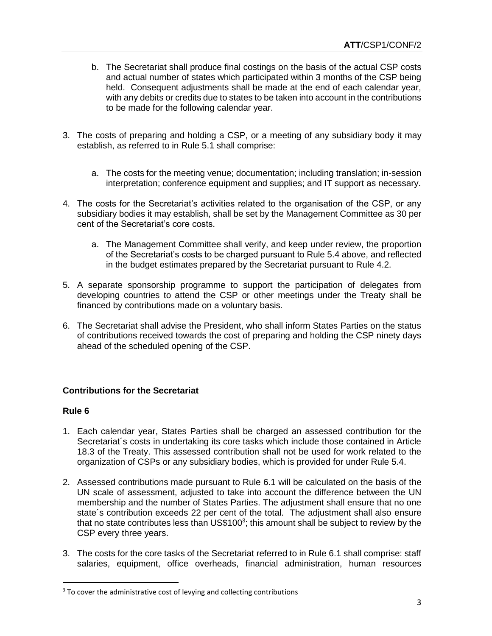- b. The Secretariat shall produce final costings on the basis of the actual CSP costs and actual number of states which participated within 3 months of the CSP being held. Consequent adjustments shall be made at the end of each calendar year, with any debits or credits due to states to be taken into account in the contributions to be made for the following calendar year.
- 3. The costs of preparing and holding a CSP, or a meeting of any subsidiary body it may establish, as referred to in Rule 5.1 shall comprise:
	- a. The costs for the meeting venue; documentation; including translation; in-session interpretation; conference equipment and supplies; and IT support as necessary.
- 4. The costs for the Secretariat's activities related to the organisation of the CSP, or any subsidiary bodies it may establish, shall be set by the Management Committee as 30 per cent of the Secretariat's core costs.
	- a. The Management Committee shall verify, and keep under review, the proportion of the Secretariat's costs to be charged pursuant to Rule 5.4 above, and reflected in the budget estimates prepared by the Secretariat pursuant to Rule 4.2.
- 5. A separate sponsorship programme to support the participation of delegates from developing countries to attend the CSP or other meetings under the Treaty shall be financed by contributions made on a voluntary basis.
- 6. The Secretariat shall advise the President, who shall inform States Parties on the status of contributions received towards the cost of preparing and holding the CSP ninety days ahead of the scheduled opening of the CSP.

## **Contributions for the Secretariat**

#### **Rule 6**

l

- 1. Each calendar year, States Parties shall be charged an assessed contribution for the Secretariat's costs in undertaking its core tasks which include those contained in Article 18.3 of the Treaty. This assessed contribution shall not be used for work related to the organization of CSPs or any subsidiary bodies, which is provided for under Rule 5.4.
- 2. Assessed contributions made pursuant to Rule 6.1 will be calculated on the basis of the UN scale of assessment, adjusted to take into account the difference between the UN membership and the number of States Parties. The adjustment shall ensure that no one state´s contribution exceeds 22 per cent of the total. The adjustment shall also ensure that no state contributes less than US\$100<sup>3</sup>; this amount shall be subject to review by the CSP every three years.
- 3. The costs for the core tasks of the Secretariat referred to in Rule 6.1 shall comprise: staff salaries, equipment, office overheads, financial administration, human resources

<sup>&</sup>lt;sup>3</sup> To cover the administrative cost of levying and collecting contributions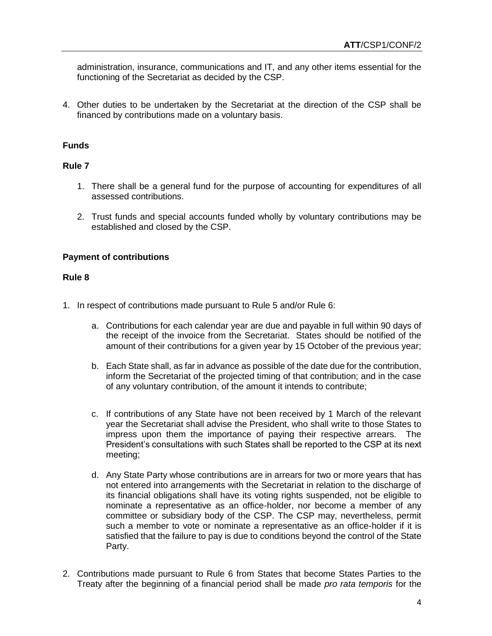administration, insurance, communications and IT, and any other items essential for the functioning of the Secretariat as decided by the CSP.

4. Other duties to be undertaken by the Secretariat at the direction of the CSP shall be financed by contributions made on a voluntary basis.

## **Funds**

#### **Rule 7**

- 1. There shall be a general fund for the purpose of accounting for expenditures of all assessed contributions.
- 2. Trust funds and special accounts funded wholly by voluntary contributions may be established and closed by the CSP.

#### **Payment of contributions**

#### **Rule 8**

- 1. In respect of contributions made pursuant to Rule 5 and/or Rule 6:
	- a. Contributions for each calendar year are due and payable in full within 90 days of the receipt of the invoice from the Secretariat. States should be notified of the amount of their contributions for a given year by 15 October of the previous year;
	- b. Each State shall, as far in advance as possible of the date due for the contribution, inform the Secretariat of the projected timing of that contribution; and in the case of any voluntary contribution, of the amount it intends to contribute;
	- c. If contributions of any State have not been received by 1 March of the relevant year the Secretariat shall advise the President, who shall write to those States to impress upon them the importance of paying their respective arrears. The President's consultations with such States shall be reported to the CSP at its next meeting;
	- d. Any State Party whose contributions are in arrears for two or more years that has not entered into arrangements with the Secretariat in relation to the discharge of its financial obligations shall have its voting rights suspended, not be eligible to nominate a representative as an office-holder, nor become a member of any committee or subsidiary body of the CSP. The CSP may, nevertheless, permit such a member to vote or nominate a representative as an office-holder if it is satisfied that the failure to pay is due to conditions beyond the control of the State Party.
- 2. Contributions made pursuant to Rule 6 from States that become States Parties to the Treaty after the beginning of a financial period shall be made *pro rata temporis* for the